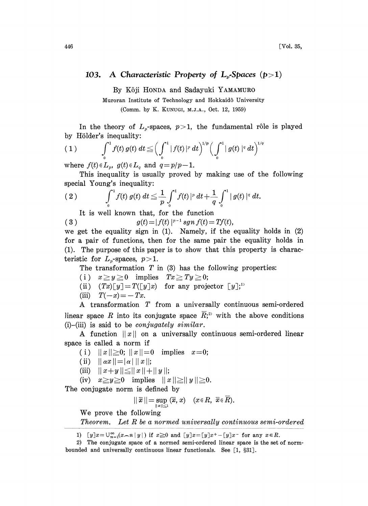## 103. A Characteristic Property of  $L_{n}$ -Spaces (p>1)

By K6ji HONDA and Sadayuki YAMAMURO

Muroran Institute of Technology and Hokkaid6 University (Comm. by K. KUNUGI, M.J.A., Oct. 12, 1959)

In the theory of  $L_{p}$ -spaces,  $p>1$ , the fundamental rôle is played by Hölder's inequality:

(1) 
$$
\int_{0}^{1} f(t) g(t) dt \leq \left( \int_{0}^{1} |f(t)|^{p} dt \right)^{1/p} \left( \int_{0}^{1} |g(t)|^{q} dt \right)^{1/q}
$$

where  $f(t) \in L_p$ ,  $g(t) \in L_q$  and  $q = p/p-1$ .

This inequality is usually proved by making use of the following special Young's inequality:

(2) 
$$
\int_0^1 f(t) g(t) dt \leq \frac{1}{p} \int_0^1 f(t) |^p dt + \frac{1}{q} \int_0^1 |g(t)|^q dt.
$$

It is well known that, for the function

(3)  $g(t) = |f(t)|^{p-1} sgn f(t) = Tf(t),$ 

we get the equality sign in (1). Namely, if the equality holds in (2) for a pair of functions, then for the same pair the equality holds in (1). The purpose of this paper is to show that this property is characteristic for  $L_r$ -spaces,  $p > 1$ .

The transformation  $T$  in  $(3)$  has the following properties:

(i)  $x \ge y \ge 0$  implies  $Tx \ge Ty \ge 0;$ 

- (ii)  $(Tx)[y] = T([y]x)$  for any projector  $[y]$ ;<sup>1)</sup>
- (iii)  $T(-x) = -Tx$ .

A transformation T from <sup>a</sup> universally continuous semi-ordered linear space R into its conjugate space  $\overline{R}$ ,<sup>2)</sup> with the above conditions  $(i)$ -(iii) is said to be *conjugately similar*.

A function  $||x||$  on a universally continuous semi-ordered linear space is called a norm if

(i)  $||x|| \ge 0$ ;  $||x|| = 0$  implies  $x=0$ ;

- (ii)  $||\alpha x|| = |\alpha| ||x||;$
- (iii)  $||x+y|| \leq ||x||+||y||;$

(iv)  $x \geq y \geq 0$  implies  $||x|| \geq ||y|| \geq 0$ .

The conjugate norm is defined by

$$
||\overline{x}|| = \sup_{||x|| \leq 1} (\overline{x}, x) \quad (x \in R, \ \overline{x} \in \overline{R}).
$$

We prove the following

Theorem. Let R be <sup>a</sup> normed universally continuous semi-ordered

1)  $[y]x = \bigcup_{n=1}^{\infty} (x-n|y|)$  if  $x \ge 0$  and  $[y]x=[y]x^+ - [y]x^-$  for any  $x \in R$ .

<sup>2)</sup> The conjugate space of a normed semi-ordered linear space is the set of normbounded and universally continuous linear functionals. See  $\lceil 1, \S 31 \rceil$ .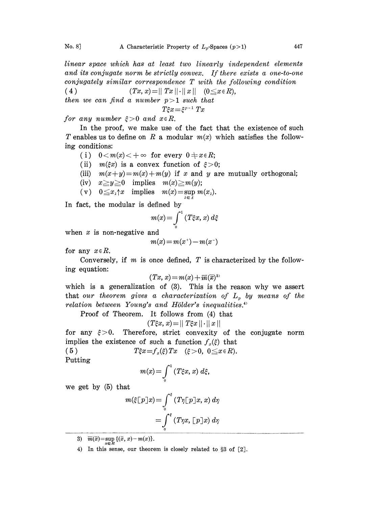linear space which has at least two linearly independent elements and its conjugate norm be strictly convex. If there exists a one-to-one conjugately similar correspondence T with the following condition

(4)  $(Tx, x) = ||Tx|| \cdot ||x||$   $(0 \le x \in R),$ 

then we can find a number  $p > 1$  such that

$$
\xi x\!=\!\xi^{p-1} \; Tx
$$

 $f$ or any number  $\xi > 0$  and  $x \in R$ .

 $T\xi x{=}\xi^{p-1}~Tx$ <br>v.e  $R$ .<br>use of the fa<br>, modular  $m$ In the proof, we make use of the fact that the existence of such T enables us to define on R a modular  $m(x)$  which satisfies the following conditions:

- (i)  $0 < m(x) < +\infty$  for every  $0 \neq x \in R$ ;
- (ii)  $m(\xi x)$  is a convex function of  $\xi > 0$ ;
- (iii)  $m(x+y)=m(x)+m(y)$  if x and y are mutually orthogonal;
- (iv)  $x \geq y \geq 0$  implies  $m(x) \geq m(y);$
- (v)  $0 \leq x_{\lambda}$  implies  $m(x) = \sup m(x_{\lambda})$ .

In fact, the modular is defined by

$$
m(x) = \int_{0}^{1} (T\xi x, x) d\xi
$$

when  $x$  is non-negative and

$$
m(x)\!=\!m(x^{\scriptscriptstyle +})\!-\!m(x^{\scriptscriptstyle -})
$$

for any  $x \in R$ .

Conversely, if  $m$  is once defined,  $T$  is characterized by the following equation:

$$
(Tx, x) = m(x) + \overline{m}(\overline{x})^3
$$

which is a generalization of (3). This is the reason why we assert that our theorem gives a characterization of  $L_p$  by means of the  $relation\ between\ Young's\ and\ Hölder's\ inequalities.$ <sup>4</sup>

Proof of Theorem. It follows from (4) that

$$
(T\xi x, x) = ||T\xi x|| \cdot ||x||
$$

for any  $\xi > 0$ . Therefore, strict convexity of the conjugate norm implies the existence of such a function  $f_x(\xi)$  that

(5)  $T\xi x = f_x(\xi)Tx \quad (\xi > 0, 0 \le x \in R).$ Putting

$$
m(x) = \int_{0}^{1} (T\xi x, x) \ d\xi,
$$

we get by (5) that

$$
m(\xi[p]x) = \int_{0}^{\xi} (T\eta[p]x, x) d\eta
$$

$$
= \int_{0}^{\xi} (T\eta x, [p]x) d\eta
$$

3)  $\overline{m}(\overline{x}) = \sup_{x \in R} \{(\overline{x}, x) - m(x)\}.$ 

4) In this sense, our theorem is closely related to  $\S 3$  of  $[2]$ .